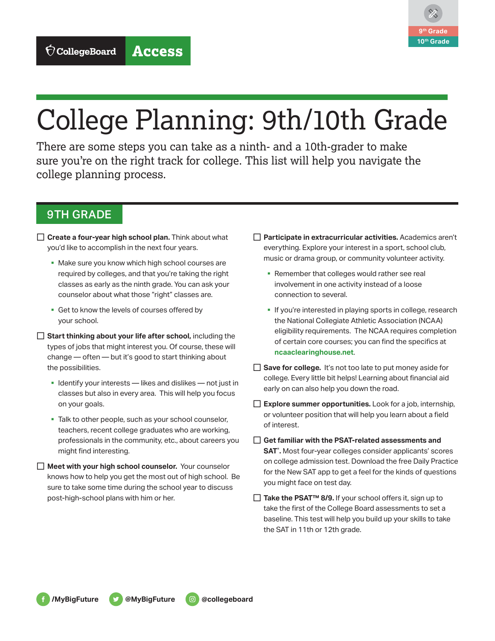

## College Planning: 9th/10th Grade

There are some steps you can take as a ninth- and a 10th-grader to make sure you're on the right track for college. This list will help you navigate the college planning process.

## 9TH GRADE

- □ **Create a four-year high school plan.** Think about what you'd like to accomplish in the next four years.
	- § Make sure you know which high school courses are required by colleges, and that you're taking the right classes as early as the ninth grade. You can ask your counselor about what those "right" classes are.
	- Get to know the levels of courses offered by your school.
- □ Start thinking about your life after school, including the types of jobs that might interest you. Of course, these will change — often — but it's good to start thinking about the possibilities.
	- § Identify your interests likes and dislikes not just in classes but also in every area. This will help you focus on your goals.
	- Talk to other people, such as your school counselor, teachers, recent college graduates who are working, professionals in the community, etc., about careers you might find interesting.
- □ Meet with your high school counselor. Your counselor knows how to help you get the most out of high school. Be sure to take some time during the school year to discuss post-high-school plans with him or her.
- □ Participate in extracurricular activities. Academics aren't everything. Explore your interest in a sport, school club, music or drama group, or community volunteer activity.
	- Remember that colleges would rather see real involvement in one activity instead of a loose connection to several.
	- If you're interested in playing sports in college, research the National Collegiate Athletic Association (NCAA) eligibility requirements. The NCAA requires completion of certain core courses; you can find the specifics at **[ncaaclearinghouse.net](http://ncaaclearinghouse.net)**.
- □ **Save for college.** It's not too late to put money aside for college. Every little bit helps! Learning about financial aid early on can also help you down the road.
- $\Box$  **Explore summer opportunities.** Look for a job, internship, or volunteer position that will help you learn about a field of interest.
- □ Get familiar with the PSAT-related assessments and **SAT**® **.** Most four-year colleges consider applicants' scores on college admission test. Download the free [Daily Practice](https://collegereadiness.collegeboard.org/sat/practice/daily-practice-app) [for the New SAT](https://collegereadiness.collegeboard.org/sat/practice/daily-practice-app) app to get a feel for the kinds of questions you might face on test day.
- □ Take the PSAT<sup>™</sup> 8/9. If your school offers it, sign up to take the first of the College Board assessments to set a baseline. This test will help you build up your skills to take the SAT in 11th or 12th grade.